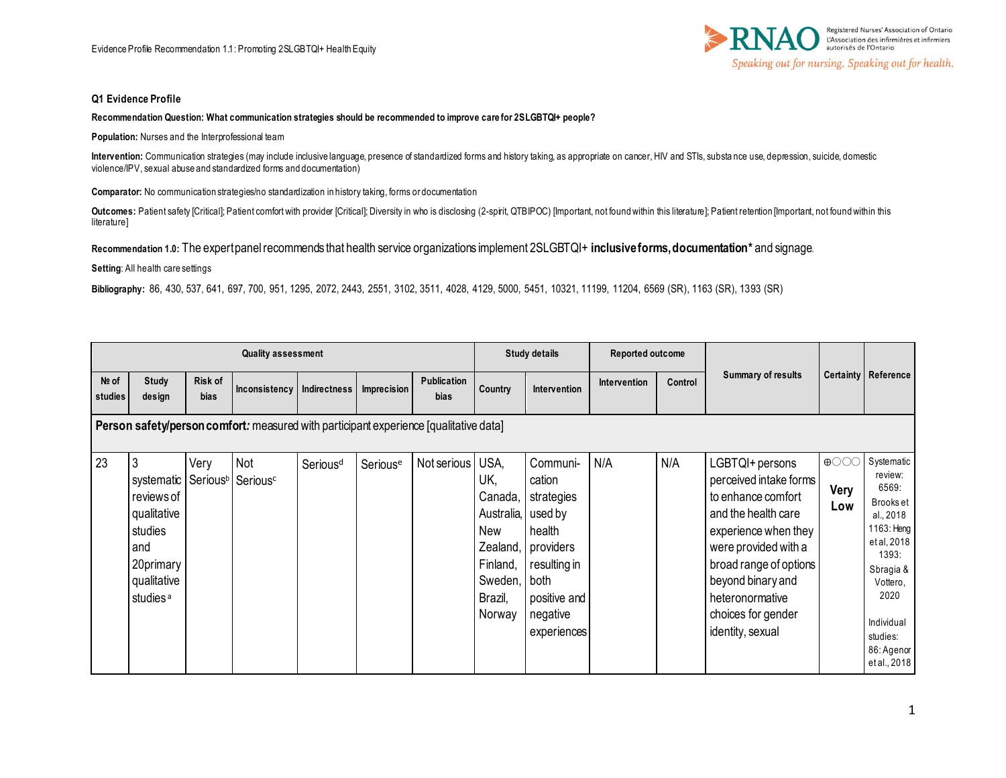

#### **Q1 Evidence Profile**

#### **Recommendation Question: What communication strategies should be recommended to improve care for 2SLGBTQI+ people?**

**Population:** Nurses and the Interprofessional team

**Intervention:** Communication strategies (may include inclusive language, presence of standardized forms and history taking, as appropriate on cancer, HIV and STIs, substa nce use, depression, suicide, domestic violence/IPV, sexual abuse and standardized forms and documentation)

**Comparator:** No communication strategies/no standardization in history taking, forms or documentation

Outcomes: Patient safety [Critical]; Patient comfort with provider [Critical]; Diversity in who is disclosing (2-spirit, QTBIPOC) [Important, not found within this literature]; Patient retention [Important, not found withi literature]

**Recommendation 1.0:** The expert panel recommends that health service organizations implement 2SLGBTQI+ **inclusive forms, documentation\*** and signage.

**Setting**: All health care settings

**Bibliography:** 86, 430, 537, 641, 697, 700, 951, 1295, 2072, 2443, 2551, 3102, 3511, 4028, 4129, 5000, 5451, 10321, 11199, 11204, 6569 (SR), 1163 (SR), 1393 (SR)

|                                                                                       | <b>Quality assessment</b>                                                                                                                               |                        |               |                      |                      |                            | <b>Study details</b>                                                                         |                                                                                                                                        | <b>Reported outcome</b> |         |                                                                                                                                                                                                                                                    |                            |                                                                                                                                                                                         |
|---------------------------------------------------------------------------------------|---------------------------------------------------------------------------------------------------------------------------------------------------------|------------------------|---------------|----------------------|----------------------|----------------------------|----------------------------------------------------------------------------------------------|----------------------------------------------------------------------------------------------------------------------------------------|-------------------------|---------|----------------------------------------------------------------------------------------------------------------------------------------------------------------------------------------------------------------------------------------------------|----------------------------|-----------------------------------------------------------------------------------------------------------------------------------------------------------------------------------------|
| Nº of<br>studies                                                                      | Study<br>design                                                                                                                                         | Risk of<br><b>bias</b> | Inconsistency | <b>Indirectness</b>  | Imprecision          | Publication<br><b>bias</b> | Country                                                                                      | <b>Intervention</b>                                                                                                                    | Intervention            | Control | <b>Summary of results</b>                                                                                                                                                                                                                          |                            | Certainty Reference                                                                                                                                                                     |
| Person safety/person comfort: measured with participant experience [qualitative data] |                                                                                                                                                         |                        |               |                      |                      |                            |                                                                                              |                                                                                                                                        |                         |         |                                                                                                                                                                                                                                                    |                            |                                                                                                                                                                                         |
| 23                                                                                    | systematic Serious <sup>b</sup> Serious <sup>c</sup><br>reviews of<br>qualitative<br>studies<br>and<br>20primary<br>qualitative<br>studies <sup>a</sup> | Very                   | Not           | Serious <sup>d</sup> | Serious <sup>e</sup> | Not serious                | USA,<br>UK,<br>Canada,<br>Australia,<br>New<br>Finland,<br>Sweden, both<br>Brazil,<br>Norway | Communi-<br>cation<br>strategies<br>used by<br>health<br>Zealand, providers<br>resulting in<br>positive and<br>negative<br>experiences | N/A                     | N/A     | LGBTQI+ persons<br>perceived intake forms<br>to enhance comfort<br>and the health care<br>experience when they<br>were provided with a<br>broad range of options<br>beyond binary and<br>heteronormative<br>choices for gender<br>identity, sexual | $\bigoplus$<br>Very<br>Low | Systematic<br>review:<br>6569:<br>Brooks et<br>al., 2018<br>1163: Heng<br>et al, 2018<br>1393:<br>Sbragia &<br>Vottero,<br>2020<br>Individual<br>studies:<br>86: Agenor<br>et al., 2018 |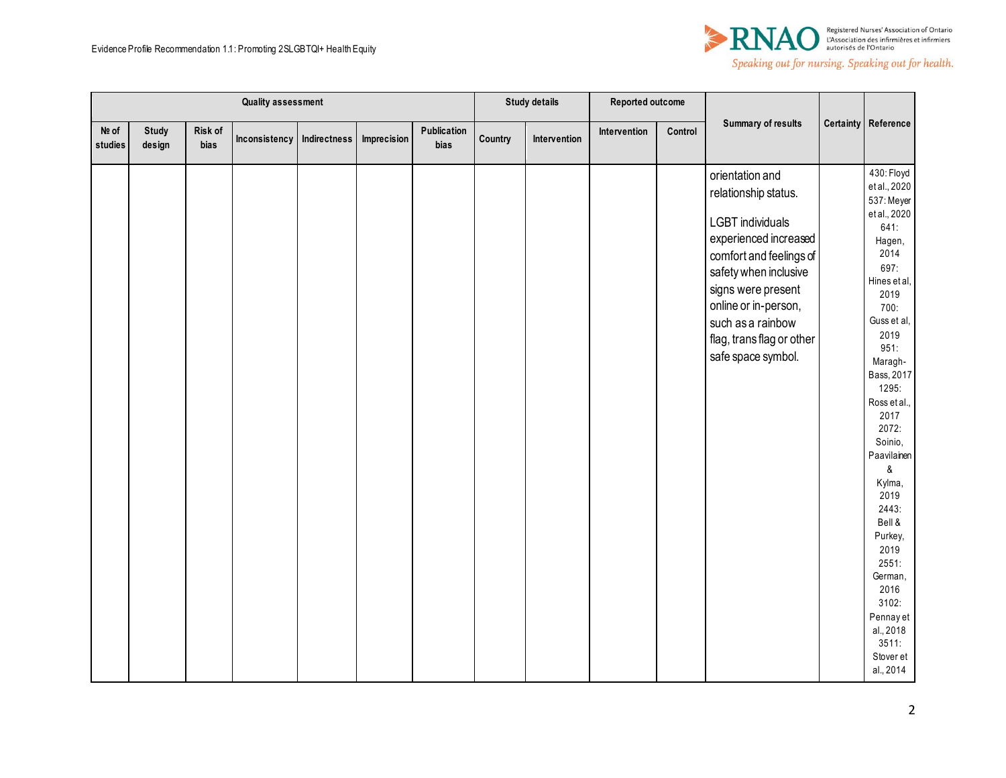

|                  | <b>Quality assessment</b> |                 |                              |  |             |                     | <b>Study details</b> |              | Reported outcome |         |                                                                                                                                                                                                                                                                       |                                                                                                                                                                                                                                                                                                                                                                                                                       |
|------------------|---------------------------|-----------------|------------------------------|--|-------------|---------------------|----------------------|--------------|------------------|---------|-----------------------------------------------------------------------------------------------------------------------------------------------------------------------------------------------------------------------------------------------------------------------|-----------------------------------------------------------------------------------------------------------------------------------------------------------------------------------------------------------------------------------------------------------------------------------------------------------------------------------------------------------------------------------------------------------------------|
| Nº of<br>studies | <b>Study</b><br>design    | Risk of<br>bias | Inconsistency   Indirectness |  | Imprecision | Publication<br>bias | Country              | Intervention | Intervention     | Control | <b>Summary of results</b>                                                                                                                                                                                                                                             | Certainty Reference                                                                                                                                                                                                                                                                                                                                                                                                   |
|                  |                           |                 |                              |  |             |                     |                      |              |                  |         | orientation and<br>relationship status.<br><b>LGBT</b> individuals<br>experienced increased<br>comfort and feelings of<br>safety when inclusive<br>signs were present<br>online or in-person,<br>such as a rainbow<br>flag, trans flag or other<br>safe space symbol. | 430: Floyd<br>et al., 2020<br>537: Meyer<br>et al., 2020<br>641:<br>Hagen,<br>2014<br>697:<br>Hines et al,<br>2019<br>700:<br>Guss et al,<br>2019<br>951:<br>Maragh-<br>Bass, 2017<br>1295:<br>Ross et al.,<br>2017<br>2072:<br>Soinio,<br>Paavilainen<br>&<br>Kylma,<br>2019<br>2443:<br>Bell &<br>Purkey,<br>2019<br>2551:<br>German,<br>2016<br>3102:<br>Pennay et<br>al., 2018<br>3511:<br>Stover et<br>al., 2014 |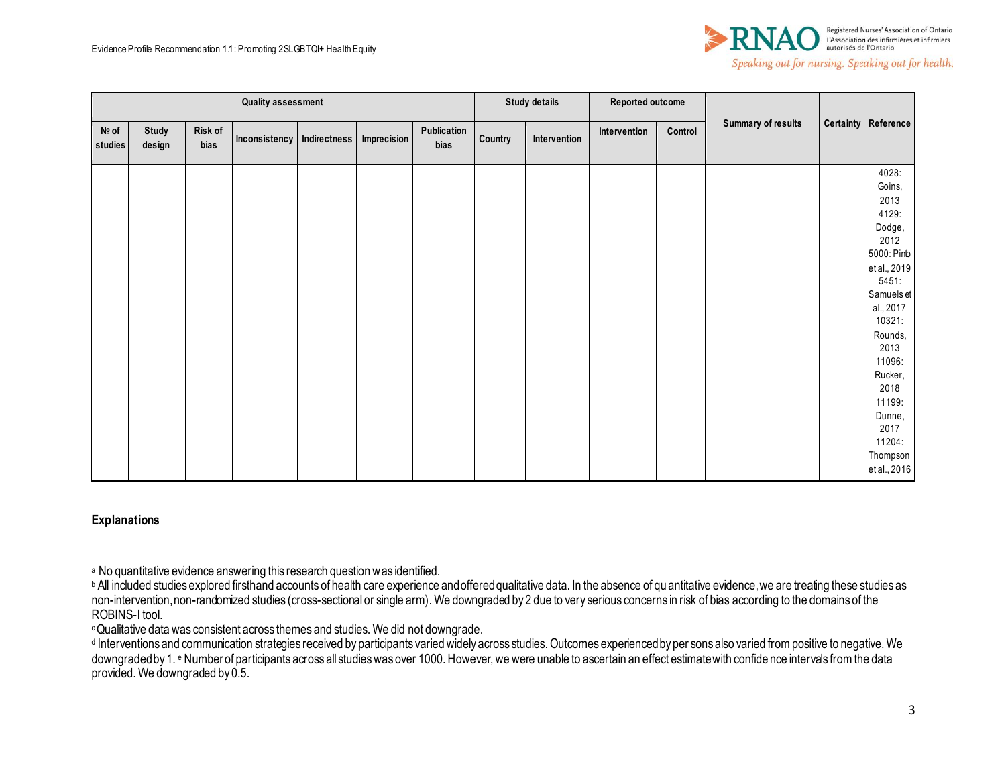

|                  | <b>Quality assessment</b> |                 |                              |  |                    |                     | <b>Study details</b> |              | Reported outcome |         |                           |                                                                                                                                                                                                                                                  |
|------------------|---------------------------|-----------------|------------------------------|--|--------------------|---------------------|----------------------|--------------|------------------|---------|---------------------------|--------------------------------------------------------------------------------------------------------------------------------------------------------------------------------------------------------------------------------------------------|
| Nº of<br>studies | Study<br>design           | Risk of<br>bias | Inconsistency   Indirectness |  | <b>Imprecision</b> | Publication<br>bias | Country              | Intervention | Intervention     | Control | <b>Summary of results</b> | Certainty Reference                                                                                                                                                                                                                              |
|                  |                           |                 |                              |  |                    |                     |                      |              |                  |         |                           | 4028:<br>Goins,<br>2013<br>4129:<br>Dodge,<br>2012<br>5000: Pinb<br>et al., 2019<br>5451:<br>Samuels et<br>al., 2017<br>10321:<br>Rounds,<br>2013<br>11096:<br>Rucker,<br>2018<br>11199:<br>Dunne,<br>2017<br>11204:<br>Thompson<br>et al., 2016 |

### **Explanations**

<sup>a</sup> No quantitative evidence answering this research question was identified.

**b** All included studies explored firsthand accounts of health care experience and offered qualitative data. In the absence of qu antitative evidence, we are treating these studies as non-intervention, non-randomized studies (cross-sectional or single arm). We downgraded by 2 due to very serious concerns in risk of bias according to the domains of the ROBINS-I tool.

<sup>c</sup>Qualitative data was consistent across themes and studies. We did not downgrade.

d Interventions and communication strategies received by participants varied widely across studies. Outcomes experienced by per sons also varied from positive to negative. We downgraded by 1. e Number of participants across all studies was over 1000. However, we were unable to ascertain an effect estimate with confide nce intervals from the data provided. We downgraded by 0.5.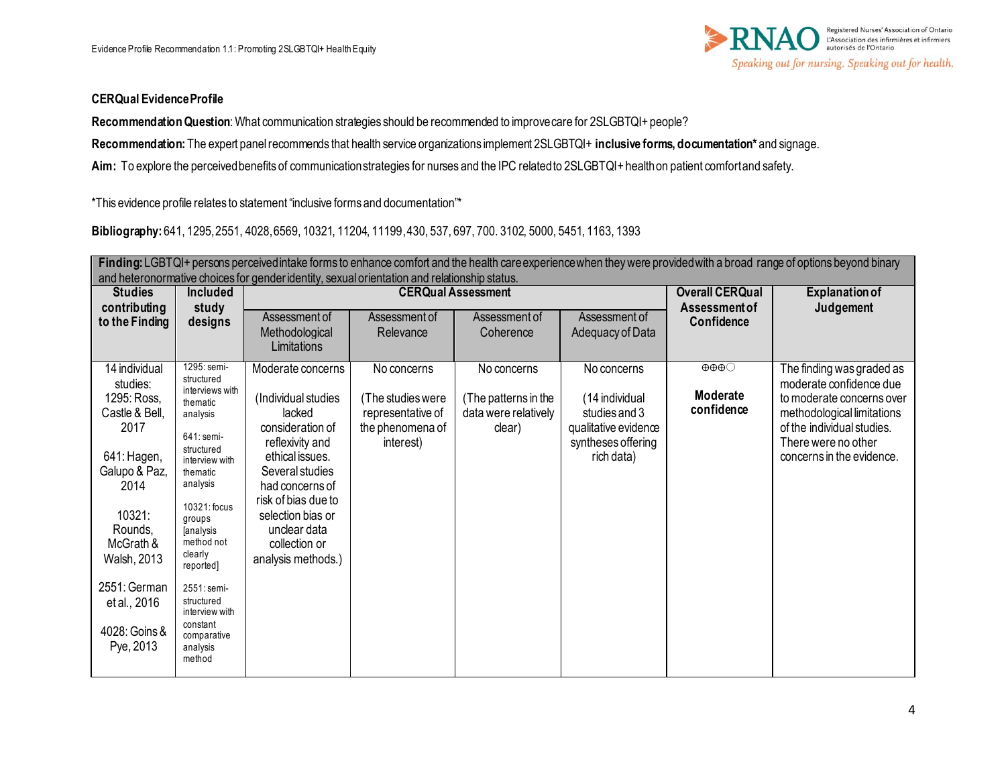

## **CERQual Evidence Profile**

**Recommendation Question**: What communication strategies should be recommended to improve care for 2SLGBTQI+ people?

**Recommendation:** The expert panel recommends that health service organizations implement 2SLGBTQI+ **inclusive forms, documentation\*** and signage.

Aim: To explore the perceived benefits of communication strategies for nurses and the IPC related to 2SLGBTQI+ health on patient comfort and safety.

\*This evidence profile relates to statement "inclusive forms and documentation"\*

# **Bibliography:** 641, 1295, 2551, 4028, 6569, 10321, 11204, 11199, 430, 537, 697, 700. 3102, 5000, 5451, 1163, 1393

|                                                                                                                                                                                                                           | Finding: LGBTQI+ persons perceived intake forms to enhance comfort and the health care experience when they were provided with a broad range of options beyond binary<br>and heteronormative choices for gender identity, sexual orientation and relationship status.                                                          |                                                                                                                                                                                                                                                       |                                                                                        |                                                                       |                                                                                                            |                                                           |                                                                                                                                                                                                   |  |  |  |  |  |
|---------------------------------------------------------------------------------------------------------------------------------------------------------------------------------------------------------------------------|--------------------------------------------------------------------------------------------------------------------------------------------------------------------------------------------------------------------------------------------------------------------------------------------------------------------------------|-------------------------------------------------------------------------------------------------------------------------------------------------------------------------------------------------------------------------------------------------------|----------------------------------------------------------------------------------------|-----------------------------------------------------------------------|------------------------------------------------------------------------------------------------------------|-----------------------------------------------------------|---------------------------------------------------------------------------------------------------------------------------------------------------------------------------------------------------|--|--|--|--|--|
| <b>Studies</b>                                                                                                                                                                                                            | <b>Included</b>                                                                                                                                                                                                                                                                                                                |                                                                                                                                                                                                                                                       | <b>CERQual Assessment</b>                                                              |                                                                       | <b>Overall CERQual</b>                                                                                     | <b>Explanation of</b>                                     |                                                                                                                                                                                                   |  |  |  |  |  |
| contributing<br>to the Finding                                                                                                                                                                                            | study<br>designs                                                                                                                                                                                                                                                                                                               | Assessment of<br>Methodological<br>Limitations                                                                                                                                                                                                        | Assessment of<br>Relevance                                                             | Assessment of<br>Coherence                                            | Assessment of<br>Adequacy of Data                                                                          | <b>Assessment of</b><br>Confidence                        | Judgement                                                                                                                                                                                         |  |  |  |  |  |
| 14 individual<br>studies:<br>1295: Ross,<br>Castle & Bell,<br>2017<br>641: Hagen,<br>Galupo & Paz,<br>2014<br>10321:<br>Rounds,<br>McGrath &<br>Walsh, 2013<br>2551: German<br>et al., 2016<br>4028: Goins &<br>Pye, 2013 | 1295: semi-<br>structured<br>interviews with<br>thematic<br>analysis<br>641: semi-<br>structured<br>interview with<br>thematic<br>analysis<br>10321: focus<br>groups<br><b>fanalysis</b><br>method not<br>clearly<br>reported]<br>2551: semi-<br>structured<br>interview with<br>constant<br>comparative<br>analysis<br>method | Moderate concerns<br>(Individual studies<br>lacked<br>consideration of<br>reflexivity and<br>ethical issues.<br>Several studies<br>had concerns of<br>risk of bias due to<br>selection bias or<br>unclear data<br>collection or<br>analysis methods.) | No concerns<br>(The studies were<br>representative of<br>the phenomena of<br>interest) | No concerns<br>(The patterns in the<br>data were relatively<br>clear) | No concerns<br>(14 individual<br>studies and 3<br>qualitative evidence<br>syntheses offering<br>rich data) | $\oplus \oplus \oplus \bigcirc$<br>Moderate<br>confidence | The finding was graded as<br>moderate confidence due<br>to moderate concerns over<br>methodological limitations<br>of the individual studies.<br>There were no other<br>concerns in the evidence. |  |  |  |  |  |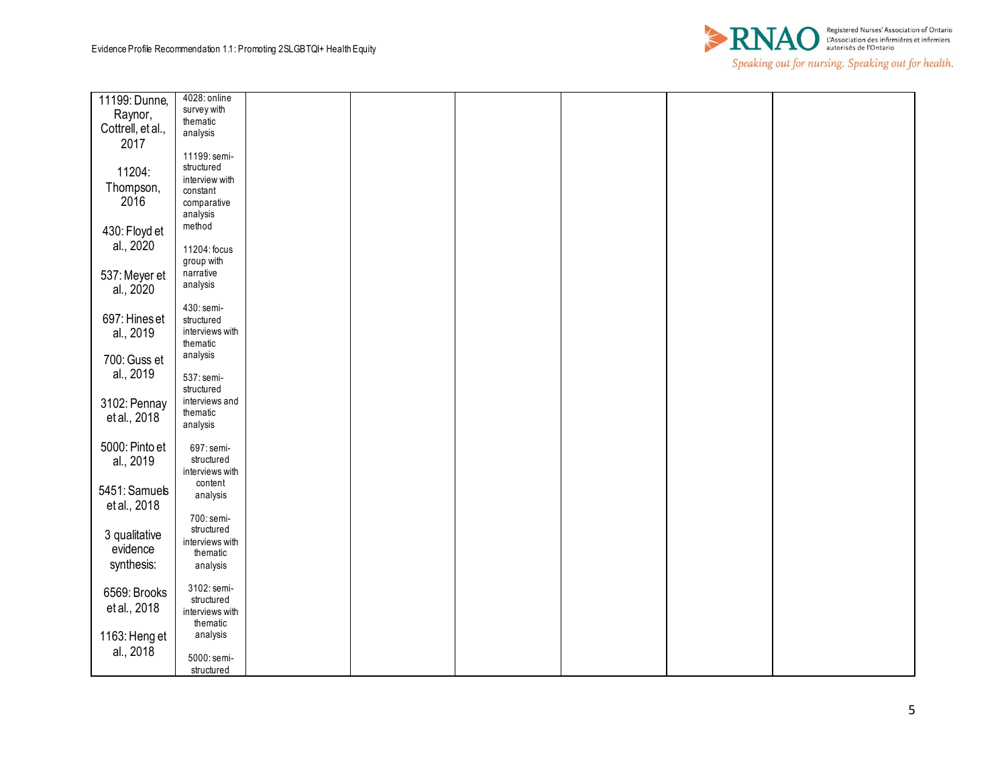

| 11199: Dunne,     | 4028: online    |  |  |  |
|-------------------|-----------------|--|--|--|
| Raynor,           | survey with     |  |  |  |
|                   | thematic        |  |  |  |
| Cottrell, et al., | analysis        |  |  |  |
| 2017              |                 |  |  |  |
|                   | 11199: semi-    |  |  |  |
| 11204:            | structured      |  |  |  |
|                   | interview with  |  |  |  |
| Thompson,         | constant        |  |  |  |
| 2016              | comparative     |  |  |  |
|                   | analysis        |  |  |  |
| 430: Floyd et     | method          |  |  |  |
|                   |                 |  |  |  |
| al., 2020         | 11204: focus    |  |  |  |
|                   | group with      |  |  |  |
| 537: Meyer et     | narrative       |  |  |  |
| al., 2020         | analysis        |  |  |  |
|                   |                 |  |  |  |
|                   | 430: semi-      |  |  |  |
| 697: Hines et     | structured      |  |  |  |
| al., 2019         | interviews with |  |  |  |
|                   | thematic        |  |  |  |
| 700: Guss et      | analysis        |  |  |  |
|                   |                 |  |  |  |
| al., 2019         | 537: semi-      |  |  |  |
|                   | structured      |  |  |  |
| 3102: Pennay      | interviews and  |  |  |  |
| et al., 2018      | thematic        |  |  |  |
|                   | analysis        |  |  |  |
|                   |                 |  |  |  |
| 5000: Pinto et    | 697: semi-      |  |  |  |
| al., 2019         | structured      |  |  |  |
|                   | interviews with |  |  |  |
| 5451: Samuels     | content         |  |  |  |
| et al., 2018      | analysis        |  |  |  |
|                   |                 |  |  |  |
|                   | 700: semi-      |  |  |  |
| 3 qualitative     | structured      |  |  |  |
| evidence          | interviews with |  |  |  |
| synthesis:        | thematic        |  |  |  |
|                   | analysis        |  |  |  |
|                   | 3102: semi-     |  |  |  |
| 6569: Brooks      | structured      |  |  |  |
| et al., 2018      | interviews with |  |  |  |
|                   | thematic        |  |  |  |
|                   | analysis        |  |  |  |
| 1163: Heng et     |                 |  |  |  |
| al., 2018         | 5000: semi-     |  |  |  |
|                   | structured      |  |  |  |
|                   |                 |  |  |  |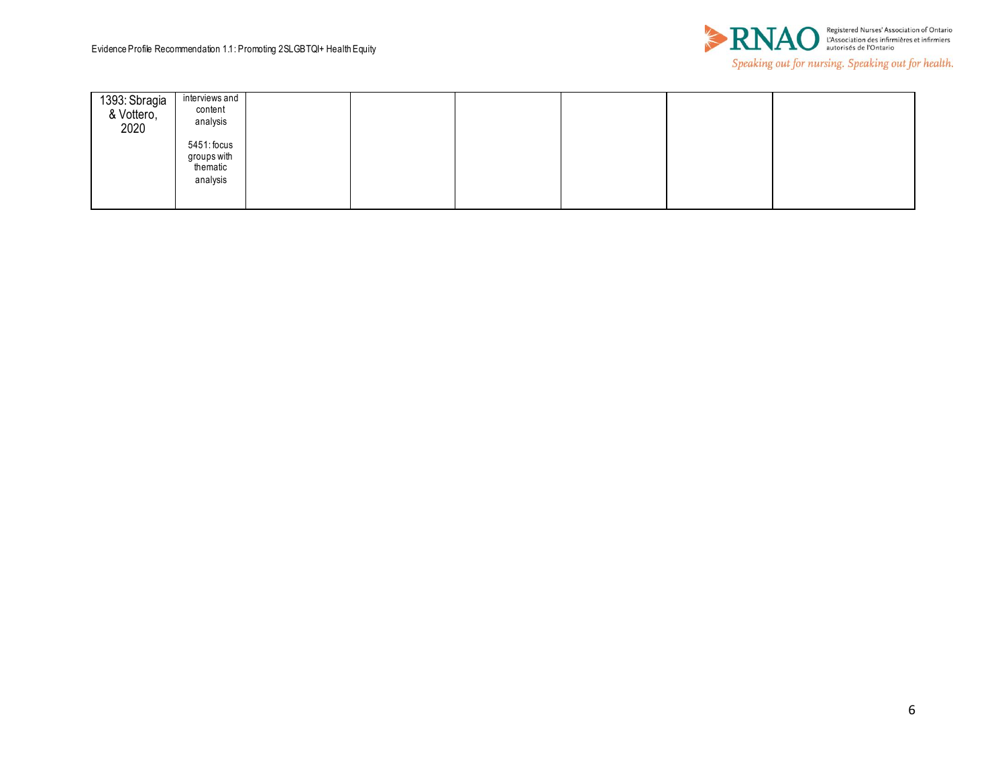

| 1393: Sbragia<br>& Vottero,<br>2020 | interviews and<br>content<br>analysis              |  |  |  |
|-------------------------------------|----------------------------------------------------|--|--|--|
|                                     | 5451: focus<br>groups with<br>thematic<br>analysis |  |  |  |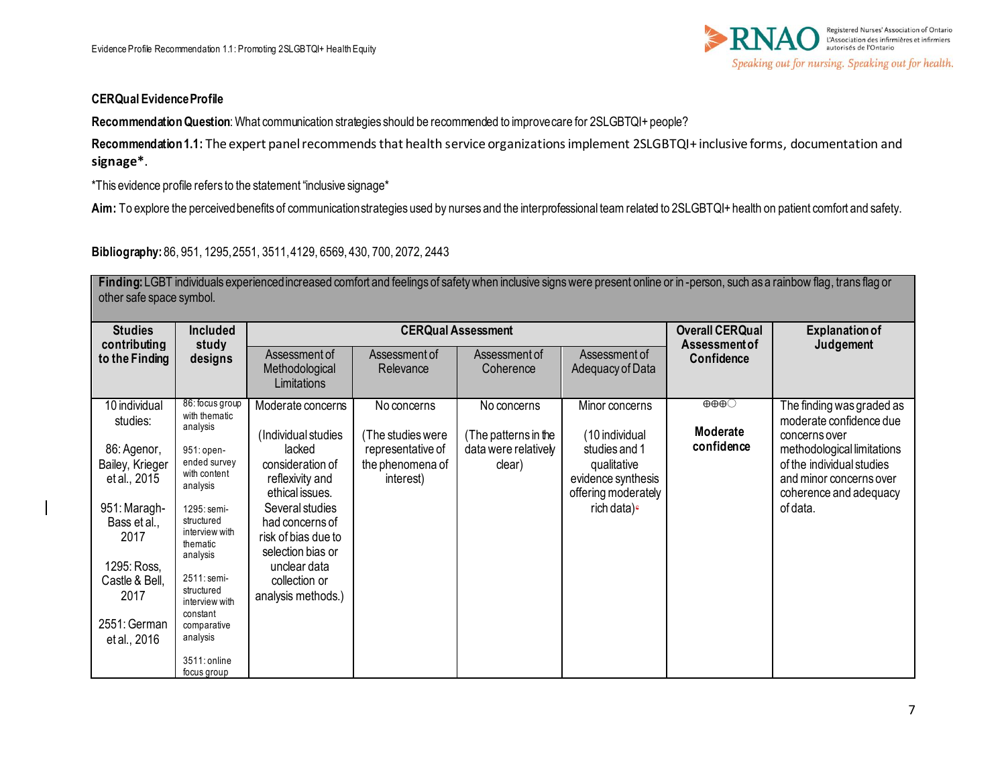

### **CERQual Evidence Profile**

**Recommendation Question**: What communication strategies should be recommended to improve care for 2SLGBTQI+ people?

**Recommendation 1.1:** The expert panel recommends that health service organizations implement 2SLGBTQI+ inclusive forms, documentation and **signage\***.

\*This evidence profile refers to the statement "inclusive signage\*

Aim: To explore the perceived benefits of communication strategies used by nurses and the interprofessional team related to 2SLGBTQI+ health on patient comfort and safety.

**Bibliography:** 86, 951, 1295, 2551, 3511, 4129, 6569, 430, 700, 2072, 2443

Finding: LGBT individuals experienced increased comfort and feelings of safety when inclusive signs were present online or in -person, such as a rainbow flag, trans flag or other safe space symbol.

| <b>Studies</b><br>contributing                                             | <b>Included</b><br>study                   |                                                                                | <b>CERQual Assessment</b>                          |                                    | <b>Overall CERQual</b><br>Assessment of                                   | <b>Explanation of</b><br>Judgement      |                                                                                                              |
|----------------------------------------------------------------------------|--------------------------------------------|--------------------------------------------------------------------------------|----------------------------------------------------|------------------------------------|---------------------------------------------------------------------------|-----------------------------------------|--------------------------------------------------------------------------------------------------------------|
| to the Finding                                                             | designs                                    | Assessment of<br>Methodological<br>Limitations                                 | Assessment of<br>Relevance                         | Assessment of<br>Coherence         | Assessment of<br>Adequacy of Data                                         | Confidence                              |                                                                                                              |
| 10 individual<br>studies:<br>analysis                                      | 86: focus group<br>with thematic           | Moderate concerns<br>(Individual studies                                       | No concerns<br>(The studies were                   | No concerns<br>The patterns in the | Minor concerns<br>(10 individual                                          | $\theta\theta\theta$<br><b>Moderate</b> | The finding was graded as<br>moderate confidence due<br>concerns over                                        |
| 86: Agenor,<br>Bailey, Krieger<br>et al., 2015<br>analysis                 | 951: open-<br>ended survey<br>with content | lacked<br>consideration of<br>reflexivity and<br>ethical issues.               | representative of<br>the phenomena of<br>interest) | data were relatively<br>clear)     | studies and 1<br>qualitative<br>evidence synthesis<br>offering moderately | confidence                              | methodological limitations<br>of the individual studies<br>and minor concerns over<br>coherence and adequacy |
| 951: Maragh-<br>structured<br>Bass et al.,<br>2017<br>thematic<br>analysis | 1295: semi-<br>interview with              | Several studies<br>had concerns of<br>risk of bias due to<br>selection bias or |                                                    |                                    | rich data) <sup>e</sup>                                                   |                                         | of data.                                                                                                     |
| 1295: Ross,<br>Castle & Bell,<br>structured<br>2017<br>constant            | 2511: semi-<br>interview with              | unclear data<br>collection or<br>analysis methods.)                            |                                                    |                                    |                                                                           |                                         |                                                                                                              |
| 2551: German<br>analysis<br>et al., 2016                                   | comparative<br>3511: online<br>focus group |                                                                                |                                                    |                                    |                                                                           |                                         |                                                                                                              |